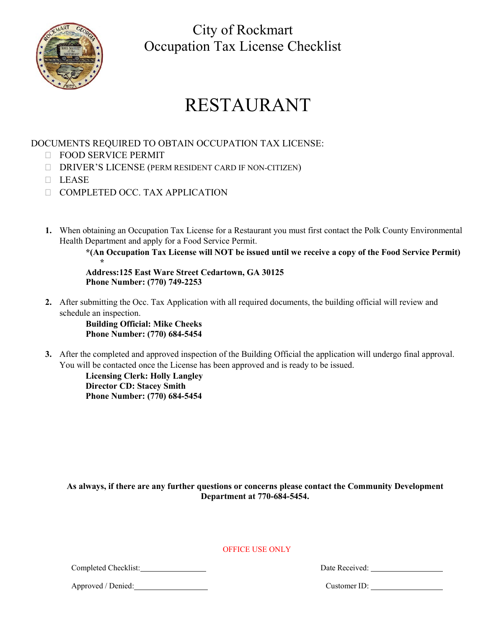

City of Rockmart Occupation Tax License Checklist

# RESTAURANT

## DOCUMENTS REQUIRED TO OBTAIN OCCUPATION TAX LICENSE:

- **FOOD SERVICE PERMIT**
- DRIVER'S LICENSE (PERM RESIDENT CARD IF NON-CITIZEN)
- LEASE
- **COMPLETED OCC. TAX APPLICATION**
- **1.** When obtaining an Occupation Tax License for a Restaurant you must first contact the Polk County Environmental Health Department and apply for a Food Service Permit.

**\*(An Occupation Tax License will NOT be issued until we receive a copy of the Food Service Permit)** 

**\* Address:125 East Ware Street Cedartown, GA 30125 Phone Number: (770) 749-2253**

**2.** After submitting the Occ. Tax Application with all required documents, the building official will review and schedule an inspection.

**Building Official: Mike Cheeks Phone Number: (770) 684-5454**

**3.** After the completed and approved inspection of the Building Official the application will undergo final approval. You will be contacted once the License has been approved and is ready to be issued.

**Licensing Clerk: Holly Langley Director CD: Stacey Smith Phone Number: (770) 684-5454**

**As always, if there are any further questions or concerns please contact the Community Development Department at 770-684-5454.**

OFFICE USE ONLY

Completed Checklist: Date Received:

Approved / Denied: Customer ID: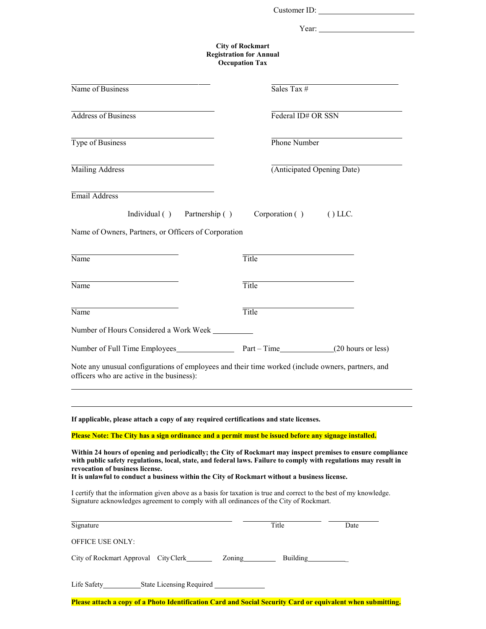|                                                                                         | Customer ID: 2000                                                                                                                                                                                                                                                                                                               |
|-----------------------------------------------------------------------------------------|---------------------------------------------------------------------------------------------------------------------------------------------------------------------------------------------------------------------------------------------------------------------------------------------------------------------------------|
|                                                                                         | Year:                                                                                                                                                                                                                                                                                                                           |
|                                                                                         | <b>City of Rockmart</b><br><b>Registration for Annual</b><br><b>Occupation Tax</b>                                                                                                                                                                                                                                              |
| Name of Business                                                                        | Sales Tax #                                                                                                                                                                                                                                                                                                                     |
| Address of Business                                                                     | Federal ID# OR SSN                                                                                                                                                                                                                                                                                                              |
| Type of Business                                                                        | Phone Number                                                                                                                                                                                                                                                                                                                    |
| Mailing Address                                                                         | (Anticipated Opening Date)                                                                                                                                                                                                                                                                                                      |
| Email Address                                                                           |                                                                                                                                                                                                                                                                                                                                 |
| Individual () Partnership ()                                                            | Corporation ()<br>$()$ LLC.                                                                                                                                                                                                                                                                                                     |
| Name of Owners, Partners, or Officers of Corporation                                    |                                                                                                                                                                                                                                                                                                                                 |
| Name                                                                                    | Title                                                                                                                                                                                                                                                                                                                           |
| Name                                                                                    | Title                                                                                                                                                                                                                                                                                                                           |
| Name                                                                                    | Title                                                                                                                                                                                                                                                                                                                           |
| Number of Hours Considered a Work Week                                                  |                                                                                                                                                                                                                                                                                                                                 |
| Number of Full Time Employees                                                           | $Part - Time$<br>$(20$ hours or less)                                                                                                                                                                                                                                                                                           |
| officers who are active in the business):                                               | Note any unusual configurations of employees and their time worked (include owners, partners, and                                                                                                                                                                                                                               |
| If applicable, please attach a copy of any required certifications and state licenses.  |                                                                                                                                                                                                                                                                                                                                 |
|                                                                                         | Please Note: The City has a sign ordinance and a permit must be issued before any signage installed.                                                                                                                                                                                                                            |
| revocation of business license.                                                         | Within 24 hours of opening and periodically; the City of Rockmart may inspect premises to ensure compliance<br>with public safety regulations, local, state, and federal laws. Failure to comply with regulations may result in<br>It is unlawful to conduct a business within the City of Rockmart without a business license. |
| Signature acknowledges agreement to comply with all ordinances of the City of Rockmart. | I certify that the information given above as a basis for taxation is true and correct to the best of my knowledge.                                                                                                                                                                                                             |
| Signature                                                                               | Title<br>Date                                                                                                                                                                                                                                                                                                                   |
| OFFICE USE ONLY:                                                                        |                                                                                                                                                                                                                                                                                                                                 |
|                                                                                         | City of Rockmart Approval City Clerk Zoning Building Building                                                                                                                                                                                                                                                                   |
| Life Safety_____________State Licensing Required _______________________________        |                                                                                                                                                                                                                                                                                                                                 |

**Please attach a copy of a Photo Identification Card and Social Security Card or equivalent when submitting.**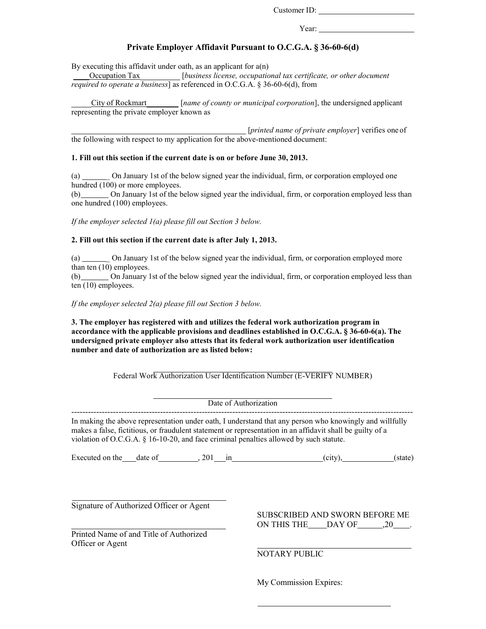Customer ID:

Year: University of the set of the set of the set of the set of the set of the set of the set of the set of the set of the set of the set of the set of the set of the set of the set of the set of the set of the set of the

#### **Private Employer Affidavit Pursuant to O.C.G.A. § 36-60-6(d)**

By executing this affidavit under oath, as an applicant for  $a(n)$ 

Occupation Tax [*business license, occupational tax certificate, or other document required to operate a business*] as referenced in O.C.G.A. § 36-60-6(d), from

City of Rockmart [*name of county or municipal corporation*], the undersigned applicant representing the private employer known as

[*printed name of private employer*] verifies one of the following with respect to my application for the above-mentioned document:

#### **1. Fill out this section if the current date is on or before June 30, 2013.**

(a) \_ On January 1st of the below signed year the individual, firm, or corporation employed one hundred (100) or more employees.

(b) On January 1st of the below signed year the individual, firm, or corporation employed less than one hundred (100) employees.

*If the employer selected 1(a) please fill out Section 3 below.*

#### **2. Fill out this section if the current date is after July 1, 2013.**

(a) \_ On January 1st of the below signed year the individual, firm, or corporation employed more than ten (10) employees.

(b) On January 1st of the below signed year the individual, firm, or corporation employed less than ten (10) employees.

*If the employer selected 2(a) please fill out Section 3 below.*

**3. The employer has registered with and utilizes the federal work authorization program in accordance with the applicable provisions and deadlines established in O.C.G.A. § 36-60-6(a). The undersigned private employer also attests that its federal work authorization user identification number and date of authorization are as listed below:**

Federal Work Authorization User Identification Number (E-VERIFY NUMBER)

Date of Authorization

---------------------------------------------------------------------------------------------------------------------------

In making the above representation under oath, I understand that any person who knowingly and willfully makes a false, fictitious, or fraudulent statement or representation in an affidavit shall be guilty of a violation of O.C.G.A. § 16-10-20, and face criminal penalties allowed by such statute.

Executed on the date of  $\frac{201 \text{ in}}{100}$ ,  $\frac{201 \text{ in}}{100}$  (city), (state)

Signature of Authorized Officer or Agent

Printed Name of and Title of Authorized Officer or Agent

SUBSCRIBED AND SWORN BEFORE ME ON THIS THE DAY OF  $\_\_$ , 20  $\_\_$ .

NOTARY PUBLIC

My Commission Expires: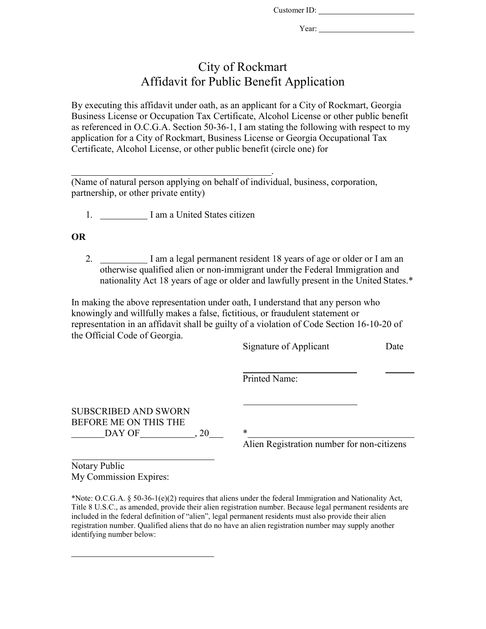Customer ID:

Year:

# City of Rockmart Affidavit for Public Benefit Application

By executing this affidavit under oath, as an applicant for a City of Rockmart, Georgia Business License or Occupation Tax Certificate, Alcohol License or other public benefit as referenced in O.C.G.A. Section 50-36-1, I am stating the following with respect to my application for a City of Rockmart, Business License or Georgia Occupational Tax Certificate, Alcohol License, or other public benefit (circle one) for

. (Name of natural person applying on behalf of individual, business, corporation, partnership, or other private entity)

1. I am a United States citizen

### **OR**

2. I am a legal permanent resident 18 years of age or older or I am an otherwise qualified alien or non-immigrant under the Federal Immigration and nationality Act 18 years of age or older and lawfully present in the United States.\*

In making the above representation under oath, I understand that any person who knowingly and willfully makes a false, fictitious, or fraudulent statement or representation in an affidavit shall be guilty of a violation of Code Section 16-10-20 of the Official Code of Georgia.

|                                                      | Signature of Applicant | Date                                       |  |
|------------------------------------------------------|------------------------|--------------------------------------------|--|
|                                                      | <b>Printed Name:</b>   |                                            |  |
| <b>SUBSCRIBED AND SWORN</b><br>BEFORE ME ON THIS THE |                        |                                            |  |
| DAY OF<br>.20                                        | *                      |                                            |  |
|                                                      |                        | Alien Registration number for non-citizens |  |

Notary Public My Commission Expires:

\*Note: O.C.G.A. § 50-36-1(e)(2) requires that aliens under the federal Immigration and Nationality Act, Title 8 U.S.C., as amended, provide their alien registration number. Because legal permanent residents are included in the federal definition of "alien", legal permanent residents must also provide their alien registration number. Qualified aliens that do no have an alien registration number may supply another identifying number below: